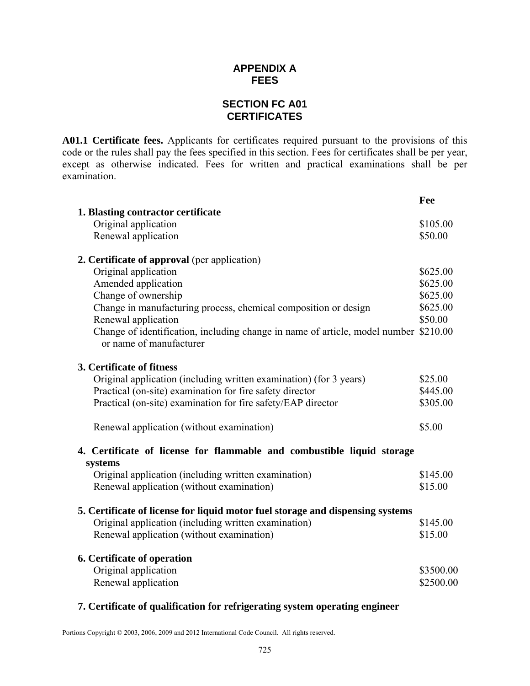# **APPENDIX A FEES**

# **SECTION FC A01 CERTIFICATES**

**A01.1 Certificate fees.** Applicants for certificates required pursuant to the provisions of this code or the rules shall pay the fees specified in this section. Fees for certificates shall be per year, except as otherwise indicated. Fees for written and practical examinations shall be per examination.

|                                                                                                                                | Fee       |  |
|--------------------------------------------------------------------------------------------------------------------------------|-----------|--|
| 1. Blasting contractor certificate                                                                                             |           |  |
| Original application                                                                                                           | \$105.00  |  |
| Renewal application                                                                                                            | \$50.00   |  |
| 2. Certificate of approval (per application)                                                                                   |           |  |
| Original application                                                                                                           | \$625.00  |  |
| Amended application                                                                                                            | \$625.00  |  |
| Change of ownership                                                                                                            | \$625.00  |  |
| Change in manufacturing process, chemical composition or design                                                                | \$625.00  |  |
| Renewal application                                                                                                            | \$50.00   |  |
| Change of identification, including change in name of article, model number \$210.00                                           |           |  |
| or name of manufacturer                                                                                                        |           |  |
| 3. Certificate of fitness                                                                                                      |           |  |
|                                                                                                                                | \$25.00   |  |
| Original application (including written examination) (for 3 years)<br>Practical (on-site) examination for fire safety director | \$445.00  |  |
|                                                                                                                                |           |  |
| Practical (on-site) examination for fire safety/EAP director                                                                   | \$305.00  |  |
| Renewal application (without examination)                                                                                      | \$5.00    |  |
| 4. Certificate of license for flammable and combustible liquid storage                                                         |           |  |
| systems                                                                                                                        |           |  |
| Original application (including written examination)                                                                           | \$145.00  |  |
| Renewal application (without examination)                                                                                      | \$15.00   |  |
| 5. Certificate of license for liquid motor fuel storage and dispensing systems                                                 |           |  |
| Original application (including written examination)                                                                           | \$145.00  |  |
| Renewal application (without examination)                                                                                      | \$15.00   |  |
| 6. Certificate of operation                                                                                                    |           |  |
| Original application                                                                                                           | \$3500.00 |  |
| Renewal application                                                                                                            | \$2500.00 |  |
|                                                                                                                                |           |  |

#### **7. Certificate of qualification for refrigerating system operating engineer**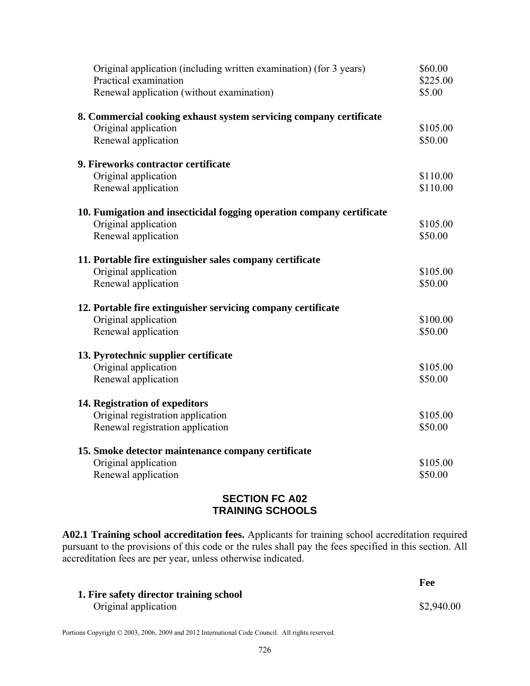| Original application (including written examination) (for 3 years)<br>Practical examination | \$60.00<br>\$225.00 |
|---------------------------------------------------------------------------------------------|---------------------|
| Renewal application (without examination)                                                   | \$5.00              |
| 8. Commercial cooking exhaust system servicing company certificate                          |                     |
| Original application                                                                        | \$105.00            |
| Renewal application                                                                         | \$50.00             |
| 9. Fireworks contractor certificate                                                         |                     |
| Original application                                                                        | \$110.00            |
| Renewal application                                                                         | \$110.00            |
| 10. Fumigation and insecticidal fogging operation company certificate                       |                     |
| Original application                                                                        | \$105.00            |
| Renewal application                                                                         | \$50.00             |
| 11. Portable fire extinguisher sales company certificate                                    |                     |
| Original application                                                                        | \$105.00            |
| Renewal application                                                                         | \$50.00             |
| 12. Portable fire extinguisher servicing company certificate                                |                     |
| Original application                                                                        | \$100.00            |
| Renewal application                                                                         | \$50.00             |
| 13. Pyrotechnic supplier certificate                                                        |                     |
| Original application                                                                        | \$105.00            |
| Renewal application                                                                         | \$50.00             |
| 14. Registration of expeditors                                                              |                     |
| Original registration application                                                           | \$105.00            |
| Renewal registration application                                                            | \$50.00             |
| 15. Smoke detector maintenance company certificate                                          |                     |
| Original application                                                                        | \$105.00            |
| Renewal application                                                                         | \$50.00             |
|                                                                                             |                     |

# **SECTION FC A02 TRAINING SCHOOLS**

**A02.1 Training school accreditation fees.** Applicants for training school accreditation required pursuant to the provisions of this code or the rules shall pay the fees specified in this section. All accreditation fees are per year, unless otherwise indicated.

|                                                                 | Fee        |
|-----------------------------------------------------------------|------------|
| 1. Fire safety director training school<br>Original application | \$2,940.00 |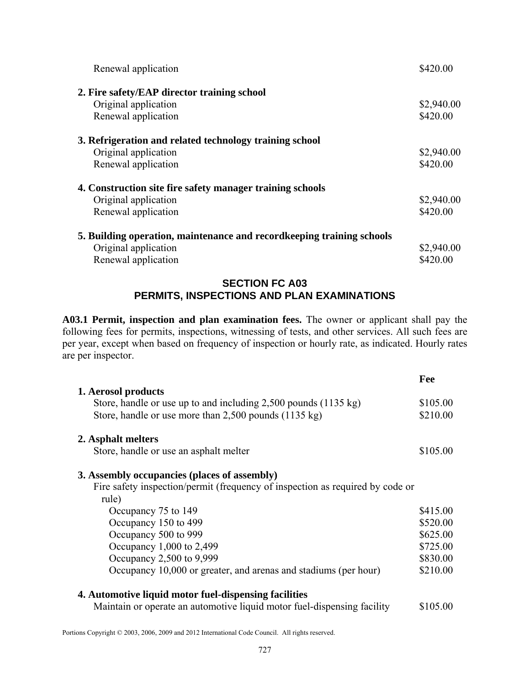| Renewal application                                                   | \$420.00   |
|-----------------------------------------------------------------------|------------|
| 2. Fire safety/EAP director training school                           |            |
| Original application                                                  | \$2,940.00 |
| Renewal application                                                   | \$420.00   |
| 3. Refrigeration and related technology training school               |            |
| Original application                                                  | \$2,940.00 |
| Renewal application                                                   | \$420.00   |
| 4. Construction site fire safety manager training schools             |            |
| Original application                                                  | \$2,940.00 |
| Renewal application                                                   | \$420.00   |
| 5. Building operation, maintenance and recordkeeping training schools |            |
| Original application                                                  | \$2,940.00 |
| Renewal application                                                   | \$420.00   |

### **SECTION FC A03 PERMITS, INSPECTIONS AND PLAN EXAMINATIONS**

**A03.1 Permit, inspection and plan examination fees.** The owner or applicant shall pay the following fees for permits, inspections, witnessing of tests, and other services. All such fees are per year, except when based on frequency of inspection or hourly rate, as indicated. Hourly rates are per inspector.

|                                                                                                    | Fee      |
|----------------------------------------------------------------------------------------------------|----------|
| 1. Aerosol products<br>Store, handle or use up to and including $2,500$ pounds $(1135 \text{ kg})$ | \$105.00 |
| Store, handle or use more than 2,500 pounds (1135 kg)                                              | \$210.00 |
|                                                                                                    |          |
| 2. Asphalt melters                                                                                 |          |
| Store, handle or use an asphalt melter                                                             | \$105.00 |
| 3. Assembly occupancies (places of assembly)                                                       |          |
| Fire safety inspection/permit (frequency of inspection as required by code or                      |          |
| rule)                                                                                              |          |
| Occupancy 75 to 149                                                                                | \$415.00 |
| Occupancy 150 to 499                                                                               | \$520.00 |
| Occupancy 500 to 999                                                                               | \$625.00 |
| Occupancy 1,000 to 2,499                                                                           | \$725.00 |
| Occupancy 2,500 to 9,999                                                                           | \$830.00 |
| Occupancy 10,000 or greater, and arenas and stadiums (per hour)                                    | \$210.00 |
| 4. Automotive liquid motor fuel-dispensing facilities                                              |          |
| Maintain or operate an automotive liquid motor fuel-dispensing facility                            | \$105.00 |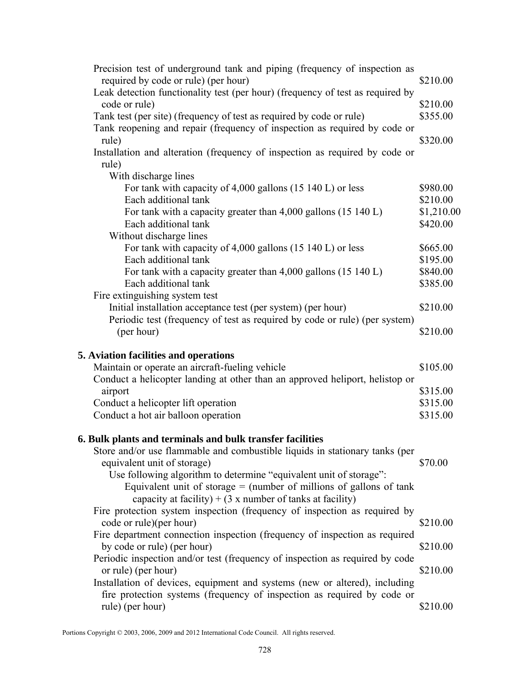| Precision test of underground tank and piping (frequency of inspection as                                              |                      |
|------------------------------------------------------------------------------------------------------------------------|----------------------|
| required by code or rule) (per hour)<br>Leak detection functionality test (per hour) (frequency of test as required by | \$210.00             |
| code or rule)                                                                                                          | \$210.00             |
| Tank test (per site) (frequency of test as required by code or rule)                                                   | \$355.00             |
| Tank reopening and repair (frequency of inspection as required by code or                                              |                      |
| rule)                                                                                                                  | \$320.00             |
| Installation and alteration (frequency of inspection as required by code or                                            |                      |
| rule)                                                                                                                  |                      |
| With discharge lines                                                                                                   |                      |
| For tank with capacity of 4,000 gallons (15 140 L) or less                                                             | \$980.00             |
| Each additional tank                                                                                                   | \$210.00             |
| For tank with a capacity greater than $4,000$ gallons $(15\ 140\ L)$                                                   | \$1,210.00           |
| Each additional tank                                                                                                   | \$420.00             |
| Without discharge lines                                                                                                |                      |
| For tank with capacity of 4,000 gallons (15 140 L) or less<br>Each additional tank                                     | \$665.00             |
| For tank with a capacity greater than 4,000 gallons (15 140 L)                                                         | \$195.00<br>\$840.00 |
| Each additional tank                                                                                                   | \$385.00             |
| Fire extinguishing system test                                                                                         |                      |
| Initial installation acceptance test (per system) (per hour)                                                           | \$210.00             |
| Periodic test (frequency of test as required by code or rule) (per system)                                             |                      |
| (per hour)                                                                                                             | \$210.00             |
|                                                                                                                        |                      |
| 5. Aviation facilities and operations                                                                                  |                      |
| Maintain or operate an aircraft-fueling vehicle                                                                        | \$105.00             |
| Conduct a helicopter landing at other than an approved heliport, helistop or                                           |                      |
| airport                                                                                                                | \$315.00             |
| Conduct a helicopter lift operation                                                                                    | \$315.00             |
| Conduct a hot air balloon operation                                                                                    | \$315.00             |
| 6. Bulk plants and terminals and bulk transfer facilities                                                              |                      |
| Store and/or use flammable and combustible liquids in stationary tanks (per                                            |                      |
| equivalent unit of storage)                                                                                            | \$70.00              |
| Use following algorithm to determine "equivalent unit of storage":                                                     |                      |
| Equivalent unit of storage $=$ (number of millions of gallons of tank                                                  |                      |
| capacity at facility) + $(3 \times$ number of tanks at facility)                                                       |                      |
| Fire protection system inspection (frequency of inspection as required by                                              |                      |
| code or rule)(per hour)                                                                                                | \$210.00             |
| Fire department connection inspection (frequency of inspection as required                                             |                      |
| by code or rule) (per hour)                                                                                            | \$210.00             |
| Periodic inspection and/or test (frequency of inspection as required by code                                           |                      |
| or rule) (per hour)                                                                                                    | \$210.00             |
| Installation of devices, equipment and systems (new or altered), including                                             |                      |
| fire protection systems (frequency of inspection as required by code or                                                |                      |
| rule) (per hour)                                                                                                       | \$210.00             |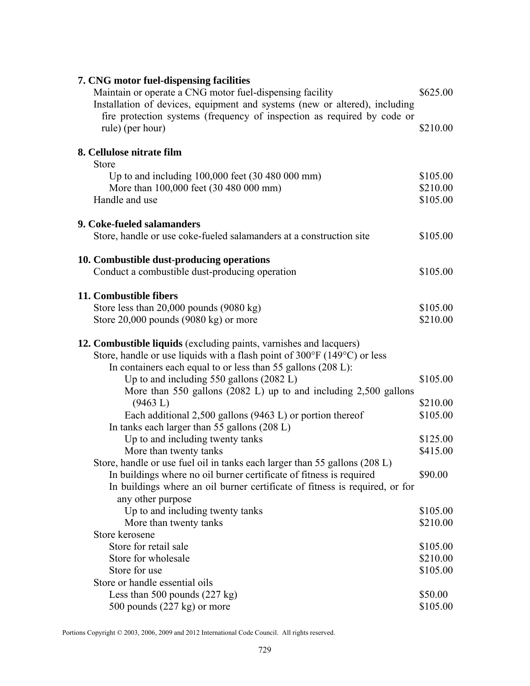| 7. CNG motor fuel-dispensing facilities<br>Maintain or operate a CNG motor fuel-dispensing facility<br>Installation of devices, equipment and systems (new or altered), including | \$625.00 |
|-----------------------------------------------------------------------------------------------------------------------------------------------------------------------------------|----------|
| fire protection systems (frequency of inspection as required by code or<br>rule) (per hour)                                                                                       | \$210.00 |
| 8. Cellulose nitrate film                                                                                                                                                         |          |
| Store                                                                                                                                                                             |          |
| Up to and including 100,000 feet (30 480 000 mm)                                                                                                                                  | \$105.00 |
| More than 100,000 feet (30 480 000 mm)                                                                                                                                            | \$210.00 |
| Handle and use                                                                                                                                                                    | \$105.00 |
| 9. Coke-fueled salamanders                                                                                                                                                        |          |
| Store, handle or use coke-fueled salamanders at a construction site                                                                                                               | \$105.00 |
|                                                                                                                                                                                   |          |
| 10. Combustible dust-producing operations                                                                                                                                         |          |
| Conduct a combustible dust-producing operation                                                                                                                                    | \$105.00 |
| 11. Combustible fibers                                                                                                                                                            |          |
| Store less than $20,000$ pounds $(9080 \text{ kg})$                                                                                                                               | \$105.00 |
| Store $20,000$ pounds $(9080 \text{ kg})$ or more                                                                                                                                 | \$210.00 |
| 12. Combustible liquids (excluding paints, varnishes and lacquers)                                                                                                                |          |
| Store, handle or use liquids with a flash point of $300^{\circ}$ F (149 $^{\circ}$ C) or less                                                                                     |          |
| In containers each equal to or less than 55 gallons (208 L):                                                                                                                      |          |
| Up to and including 550 gallons (2082 L)                                                                                                                                          | \$105.00 |
| More than 550 gallons $(2082 \text{ L})$ up to and including 2,500 gallons                                                                                                        |          |
| (9463 L)                                                                                                                                                                          | \$210.00 |
| Each additional $2,500$ gallons (9463 L) or portion thereof                                                                                                                       | \$105.00 |
| In tanks each larger than 55 gallons (208 L)                                                                                                                                      |          |
| Up to and including twenty tanks                                                                                                                                                  | \$125.00 |
| More than twenty tanks                                                                                                                                                            | \$415.00 |
| Store, handle or use fuel oil in tanks each larger than 55 gallons (208 L)                                                                                                        |          |
| In buildings where no oil burner certificate of fitness is required                                                                                                               | \$90.00  |
| In buildings where an oil burner certificate of fitness is required, or for                                                                                                       |          |
| any other purpose                                                                                                                                                                 |          |
| Up to and including twenty tanks                                                                                                                                                  | \$105.00 |
| More than twenty tanks                                                                                                                                                            | \$210.00 |
| Store kerosene                                                                                                                                                                    |          |
| Store for retail sale                                                                                                                                                             | \$105.00 |
| Store for wholesale                                                                                                                                                               | \$210.00 |
| Store for use                                                                                                                                                                     | \$105.00 |
| Store or handle essential oils                                                                                                                                                    |          |
| Less than 500 pounds $(227 \text{ kg})$                                                                                                                                           | \$50.00  |
| 500 pounds (227 kg) or more                                                                                                                                                       | \$105.00 |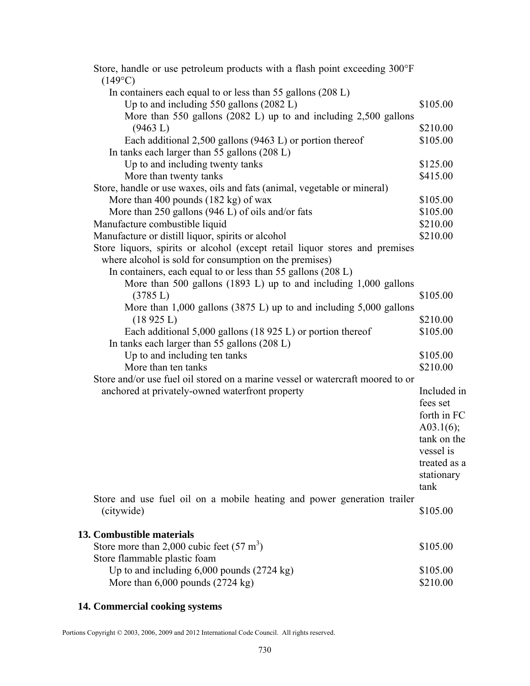| Store, handle or use petroleum products with a flash point exceeding 300°F<br>$(149^{\circ}C)$ |               |
|------------------------------------------------------------------------------------------------|---------------|
| In containers each equal to or less than 55 gallons (208 L)                                    |               |
| Up to and including 550 gallons (2082 L)                                                       | \$105.00      |
| More than 550 gallons $(2082 \text{ L})$ up to and including 2,500 gallons                     |               |
| (9463 L)                                                                                       | \$210.00      |
| Each additional $2,500$ gallons (9463 L) or portion thereof                                    | \$105.00      |
| In tanks each larger than 55 gallons (208 L)                                                   |               |
| Up to and including twenty tanks                                                               | \$125.00      |
| More than twenty tanks                                                                         | \$415.00      |
| Store, handle or use waxes, oils and fats (animal, vegetable or mineral)                       |               |
| More than 400 pounds $(182 \text{ kg})$ of wax                                                 | \$105.00      |
| More than 250 gallons (946 L) of oils and/or fats                                              | \$105.00      |
| Manufacture combustible liquid                                                                 | \$210.00      |
| Manufacture or distill liquor, spirits or alcohol                                              | \$210.00      |
| Store liquors, spirits or alcohol (except retail liquor stores and premises                    |               |
| where alcohol is sold for consumption on the premises)                                         |               |
| In containers, each equal to or less than 55 gallons (208 L)                                   |               |
| More than 500 gallons (1893 L) up to and including 1,000 gallons                               |               |
| (3785 L)                                                                                       | \$105.00      |
| More than $1,000$ gallons (3875 L) up to and including $5,000$ gallons                         |               |
| (18925 L)                                                                                      | \$210.00      |
| Each additional $5,000$ gallons (18 925 L) or portion thereof                                  | \$105.00      |
| In tanks each larger than 55 gallons (208 L)                                                   |               |
| Up to and including ten tanks                                                                  | \$105.00      |
| More than ten tanks                                                                            | \$210.00      |
| Store and/or use fuel oil stored on a marine vessel or watercraft moored to or                 |               |
| anchored at privately-owned waterfront property                                                | Included in   |
|                                                                                                | fees set      |
|                                                                                                | forth in FC   |
|                                                                                                | A03.1 $(6)$ ; |
|                                                                                                | tank on the   |
|                                                                                                | vessel is     |
|                                                                                                | treated as a  |
|                                                                                                | stationary    |
|                                                                                                | tank          |
| Store and use fuel oil on a mobile heating and power generation trailer                        |               |
| (citywide)                                                                                     | \$105.00      |
|                                                                                                |               |
| 13. Combustible materials                                                                      |               |
| Store more than 2,000 cubic feet $(57 \text{ m}^3)$                                            | \$105.00      |
| Store flammable plastic foam                                                                   |               |
| Up to and including $6,000$ pounds $(2724 \text{ kg})$                                         | \$105.00      |
| More than 6,000 pounds (2724 kg)                                                               | \$210.00      |

# **14. Commercial cooking systems**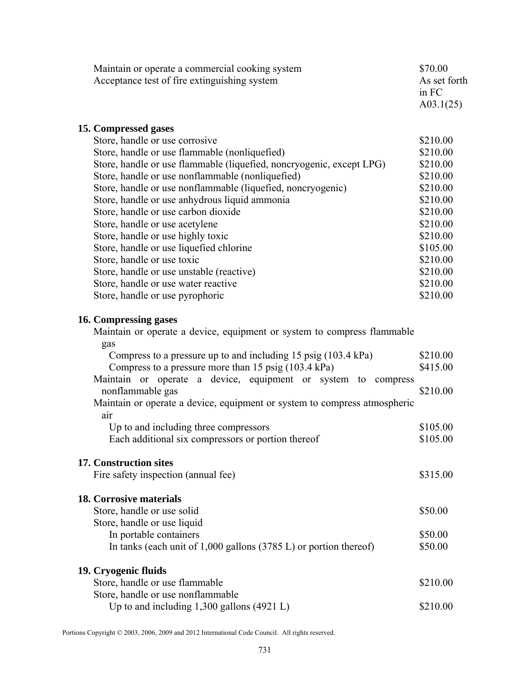| Maintain or operate a commercial cooking system                                  | \$70.00      |
|----------------------------------------------------------------------------------|--------------|
| Acceptance test of fire extinguishing system                                     | As set forth |
|                                                                                  | in FC        |
|                                                                                  | A03.1(25)    |
| 15. Compressed gases                                                             |              |
| Store, handle or use corrosive                                                   | \$210.00     |
| Store, handle or use flammable (nonliquefied)                                    | \$210.00     |
| Store, handle or use flammable (liquefied, noncryogenic, except LPG)             | \$210.00     |
| Store, handle or use nonflammable (nonliquefied)                                 | \$210.00     |
| Store, handle or use nonflammable (liquefied, noncryogenic)                      | \$210.00     |
| Store, handle or use anhydrous liquid ammonia                                    | \$210.00     |
| Store, handle or use carbon dioxide                                              | \$210.00     |
| Store, handle or use acetylene                                                   | \$210.00     |
| Store, handle or use highly toxic                                                | \$210.00     |
| Store, handle or use liquefied chlorine                                          | \$105.00     |
| Store, handle or use toxic                                                       | \$210.00     |
| Store, handle or use unstable (reactive)                                         | \$210.00     |
| Store, handle or use water reactive                                              | \$210.00     |
| Store, handle or use pyrophoric                                                  | \$210.00     |
| 16. Compressing gases                                                            |              |
| Maintain or operate a device, equipment or system to compress flammable          |              |
| gas                                                                              |              |
| Compress to a pressure up to and including 15 psig (103.4 kPa)                   | \$210.00     |
| Compress to a pressure more than 15 psig (103.4 kPa)                             | \$415.00     |
| Maintain or operate a device, equipment or system to compress                    |              |
| nonflammable gas                                                                 | \$210.00     |
| Maintain or operate a device, equipment or system to compress atmospheric<br>air |              |
| Up to and including three compressors                                            | \$105.00     |
| Each additional six compressors or portion thereof                               | \$105.00     |
| <b>17. Construction sites</b>                                                    |              |
| Fire safety inspection (annual fee)                                              | \$315.00     |
| <b>18. Corrosive materials</b>                                                   |              |
| Store, handle or use solid                                                       | \$50.00      |
| Store, handle or use liquid                                                      |              |
| In portable containers                                                           | \$50.00      |
| In tanks (each unit of $1,000$ gallons $(3785 \text{ L})$ or portion thereof)    | \$50.00      |
| 19. Cryogenic fluids                                                             |              |
| Store, handle or use flammable                                                   | \$210.00     |
| Store, handle or use nonflammable                                                |              |
| Up to and including $1,300$ gallons (4921 L)                                     | \$210.00     |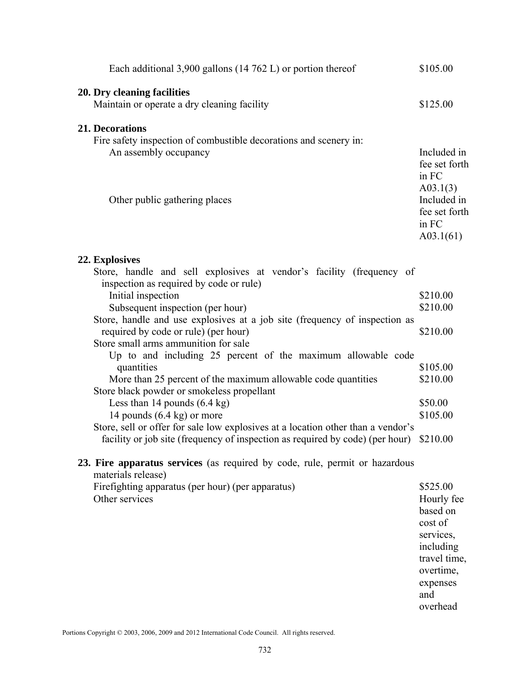| Each additional 3,900 gallons $(14 762 L)$ or portion thereof                                                                                                     | \$105.00                                                       |
|-------------------------------------------------------------------------------------------------------------------------------------------------------------------|----------------------------------------------------------------|
| 20. Dry cleaning facilities<br>Maintain or operate a dry cleaning facility                                                                                        | \$125.00                                                       |
| <b>21. Decorations</b><br>Fire safety inspection of combustible decorations and scenery in:<br>An assembly occupancy                                              | Included in<br>fee set forth<br>in FC                          |
| Other public gathering places                                                                                                                                     | A03.1(3)<br>Included in<br>fee set forth<br>in FC<br>A03.1(61) |
| 22. Explosives                                                                                                                                                    |                                                                |
| Store, handle and sell explosives at vendor's facility (frequency of<br>inspection as required by code or rule)                                                   |                                                                |
| Initial inspection                                                                                                                                                | \$210.00                                                       |
| Subsequent inspection (per hour)                                                                                                                                  | \$210.00                                                       |
| Store, handle and use explosives at a job site (frequency of inspection as<br>required by code or rule) (per hour)                                                | \$210.00                                                       |
| Store small arms ammunition for sale                                                                                                                              |                                                                |
| Up to and including 25 percent of the maximum allowable code<br>quantities                                                                                        | \$105.00                                                       |
| More than 25 percent of the maximum allowable code quantities                                                                                                     | \$210.00                                                       |
| Store black powder or smokeless propellant                                                                                                                        |                                                                |
| Less than 14 pounds $(6.4 \text{ kg})$                                                                                                                            | \$50.00                                                        |
| 14 pounds $(6.4 \text{ kg})$ or more                                                                                                                              | \$105.00                                                       |
| Store, sell or offer for sale low explosives at a location other than a vendor's<br>facility or job site (frequency of inspection as required by code) (per hour) | \$210.00                                                       |
| 23. Fire apparatus services (as required by code, rule, permit or hazardous                                                                                       |                                                                |
| materials release)                                                                                                                                                |                                                                |
| Firefighting apparatus (per hour) (per apparatus)                                                                                                                 | \$525.00                                                       |
| Other services                                                                                                                                                    | Hourly fee<br>based on                                         |
|                                                                                                                                                                   | cost of                                                        |
|                                                                                                                                                                   | services,                                                      |
|                                                                                                                                                                   | including                                                      |
|                                                                                                                                                                   | travel time,                                                   |
|                                                                                                                                                                   | overtime,                                                      |
|                                                                                                                                                                   | expenses                                                       |
|                                                                                                                                                                   | and                                                            |
|                                                                                                                                                                   | overhead                                                       |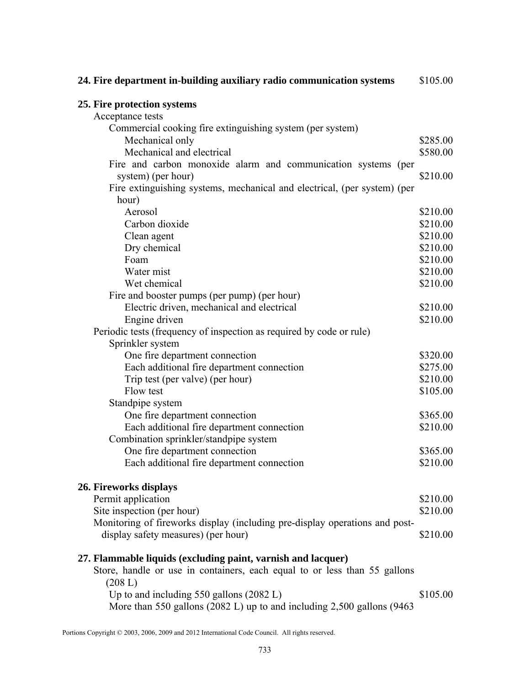| 24. Fire department in-building auxiliary radio communication systems       | \$105.00 |
|-----------------------------------------------------------------------------|----------|
| 25. Fire protection systems                                                 |          |
| Acceptance tests                                                            |          |
| Commercial cooking fire extinguishing system (per system)                   |          |
| Mechanical only                                                             | \$285.00 |
| Mechanical and electrical                                                   | \$580.00 |
| Fire and carbon monoxide alarm and communication systems (per               |          |
| system) (per hour)                                                          | \$210.00 |
| Fire extinguishing systems, mechanical and electrical, (per system) (per    |          |
| hour)                                                                       |          |
| Aerosol                                                                     | \$210.00 |
| Carbon dioxide                                                              | \$210.00 |
| Clean agent                                                                 | \$210.00 |
| Dry chemical                                                                | \$210.00 |
| Foam                                                                        | \$210.00 |
| Water mist                                                                  | \$210.00 |
| Wet chemical                                                                | \$210.00 |
| Fire and booster pumps (per pump) (per hour)                                |          |
| Electric driven, mechanical and electrical                                  | \$210.00 |
| Engine driven                                                               | \$210.00 |
| Periodic tests (frequency of inspection as required by code or rule)        |          |
| Sprinkler system                                                            |          |
| One fire department connection                                              | \$320.00 |
| Each additional fire department connection                                  | \$275.00 |
| Trip test (per valve) (per hour)                                            | \$210.00 |
| Flow test                                                                   | \$105.00 |
| Standpipe system                                                            |          |
| One fire department connection                                              | \$365.00 |
| Each additional fire department connection                                  | \$210.00 |
| Combination sprinkler/standpipe system                                      |          |
| One fire department connection                                              | \$365.00 |
| Each additional fire department connection                                  | \$210.00 |
|                                                                             |          |
| 26. Fireworks displays                                                      |          |
| Permit application                                                          | \$210.00 |
| Site inspection (per hour)                                                  | \$210.00 |
| Monitoring of fireworks display (including pre-display operations and post- |          |
| display safety measures) (per hour)                                         | \$210.00 |
| 27. Flammable liquids (excluding paint, varnish and lacquer)                |          |
| Store, handle or use in containers, each equal to or less than 55 gallons   |          |
| (208 L)                                                                     |          |
| Up to and including $550$ gallons $(2082 L)$                                | \$105.00 |
| More than 550 gallons (2082 L) up to and including 2,500 gallons (9463      |          |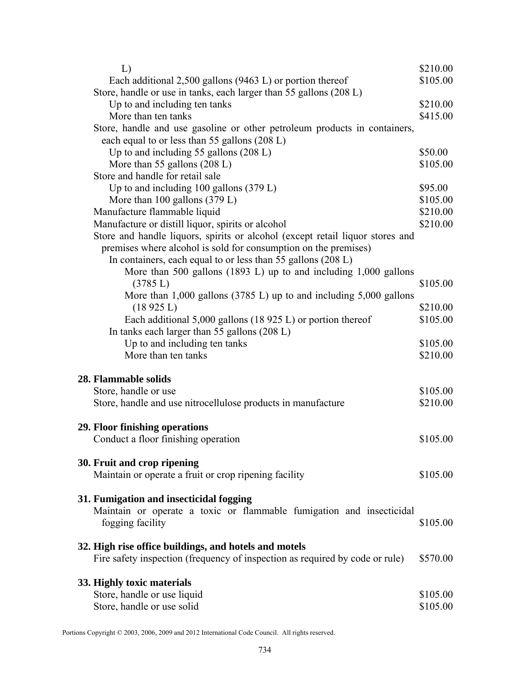| L)                                                                               | \$210.00 |
|----------------------------------------------------------------------------------|----------|
| Each additional $2,500$ gallons (9463 L) or portion thereof                      | \$105.00 |
| Store, handle or use in tanks, each larger than 55 gallons (208 L)               |          |
| Up to and including ten tanks                                                    | \$210.00 |
| More than ten tanks                                                              | \$415.00 |
| Store, handle and use gasoline or other petroleum products in containers,        |          |
| each equal to or less than 55 gallons (208 L)                                    |          |
| Up to and including 55 gallons $(208 L)$                                         | \$50.00  |
| More than 55 gallons (208 L)                                                     | \$105.00 |
| Store and handle for retail sale                                                 |          |
| Up to and including $100$ gallons $(379 L)$                                      | \$95.00  |
| More than $100$ gallons $(379 L)$                                                | \$105.00 |
| Manufacture flammable liquid                                                     | \$210.00 |
| Manufacture or distill liquor, spirits or alcohol                                | \$210.00 |
| Store and handle liquors, spirits or alcohol (except retail liquor stores and    |          |
| premises where alcohol is sold for consumption on the premises)                  |          |
| In containers, each equal to or less than 55 gallons (208 L)                     |          |
| More than 500 gallons (1893 L) up to and including 1,000 gallons                 |          |
| (3785 L)                                                                         | \$105.00 |
| More than $1,000$ gallons $(3785 \text{ L})$ up to and including $5,000$ gallons |          |
| (18925 L)                                                                        | \$210.00 |
| Each additional $5,000$ gallons (18 925 L) or portion thereof                    | \$105.00 |
| In tanks each larger than 55 gallons (208 L)                                     |          |
| Up to and including ten tanks                                                    | \$105.00 |
| More than ten tanks                                                              | \$210.00 |
|                                                                                  |          |
| <b>28. Flammable solids</b>                                                      |          |
| Store, handle or use                                                             | \$105.00 |
| Store, handle and use nitrocellulose products in manufacture                     | \$210.00 |
|                                                                                  |          |
| 29. Floor finishing operations                                                   |          |
| Conduct a floor finishing operation                                              | \$105.00 |
|                                                                                  |          |
| 30. Fruit and crop ripening                                                      |          |
| Maintain or operate a fruit or crop ripening facility                            | \$105.00 |
|                                                                                  |          |
| 31. Fumigation and insecticidal fogging                                          |          |
| Maintain or operate a toxic or flammable fumigation and insecticidal             |          |
| fogging facility                                                                 | \$105.00 |
|                                                                                  |          |
| 32. High rise office buildings, and hotels and motels                            |          |
| Fire safety inspection (frequency of inspection as required by code or rule)     | \$570.00 |
|                                                                                  |          |
| 33. Highly toxic materials                                                       |          |
| Store, handle or use liquid                                                      | \$105.00 |
|                                                                                  |          |
| Store, handle or use solid                                                       | \$105.00 |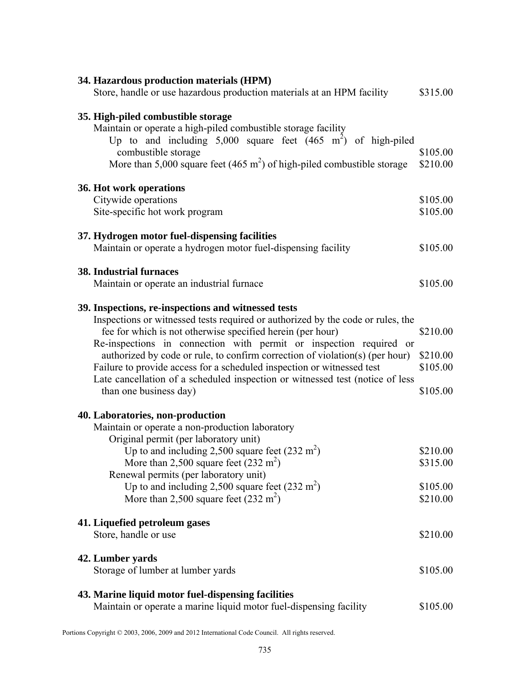| 34. Hazardous production materials (HPM)<br>Store, handle or use hazardous production materials at an HPM facility                                                                                                                                                                                                                                                                                                                                                                                                                              | \$315.00                                     |
|-------------------------------------------------------------------------------------------------------------------------------------------------------------------------------------------------------------------------------------------------------------------------------------------------------------------------------------------------------------------------------------------------------------------------------------------------------------------------------------------------------------------------------------------------|----------------------------------------------|
| 35. High-piled combustible storage<br>Maintain or operate a high-piled combustible storage facility<br>Up to and including $5,000$ square feet $(465 \text{ m}^2)$ of high-piled<br>combustible storage<br>More than 5,000 square feet (465 $m2$ ) of high-piled combustible storage                                                                                                                                                                                                                                                            | \$105.00<br>\$210.00                         |
| 36. Hot work operations<br>Citywide operations<br>Site-specific hot work program                                                                                                                                                                                                                                                                                                                                                                                                                                                                | \$105.00<br>\$105.00                         |
| 37. Hydrogen motor fuel-dispensing facilities<br>Maintain or operate a hydrogen motor fuel-dispensing facility                                                                                                                                                                                                                                                                                                                                                                                                                                  | \$105.00                                     |
| <b>38. Industrial furnaces</b><br>Maintain or operate an industrial furnace                                                                                                                                                                                                                                                                                                                                                                                                                                                                     | \$105.00                                     |
| 39. Inspections, re-inspections and witnessed tests<br>Inspections or witnessed tests required or authorized by the code or rules, the<br>fee for which is not otherwise specified herein (per hour)<br>Re-inspections in connection with permit or inspection required or<br>authorized by code or rule, to confirm correction of violation(s) (per hour)<br>Failure to provide access for a scheduled inspection or witnessed test<br>Late cancellation of a scheduled inspection or witnessed test (notice of less<br>than one business day) | \$210.00<br>\$210.00<br>\$105.00<br>\$105.00 |
| 40. Laboratories, non-production<br>Maintain or operate a non-production laboratory<br>Original permit (per laboratory unit)<br>Up to and including 2,500 square feet $(232 \text{ m}^2)$<br>More than 2,500 square feet $(232 \text{ m}^2)$<br>Renewal permits (per laboratory unit)<br>Up to and including 2,500 square feet $(232 \text{ m}^2)$<br>More than 2,500 square feet $(232 \text{ m}^2)$                                                                                                                                           | \$210.00<br>\$315.00<br>\$105.00<br>\$210.00 |
| 41. Liquefied petroleum gases<br>Store, handle or use                                                                                                                                                                                                                                                                                                                                                                                                                                                                                           | \$210.00                                     |
| 42. Lumber yards<br>Storage of lumber at lumber yards                                                                                                                                                                                                                                                                                                                                                                                                                                                                                           | \$105.00                                     |
| 43. Marine liquid motor fuel-dispensing facilities<br>Maintain or operate a marine liquid motor fuel-dispensing facility                                                                                                                                                                                                                                                                                                                                                                                                                        | \$105.00                                     |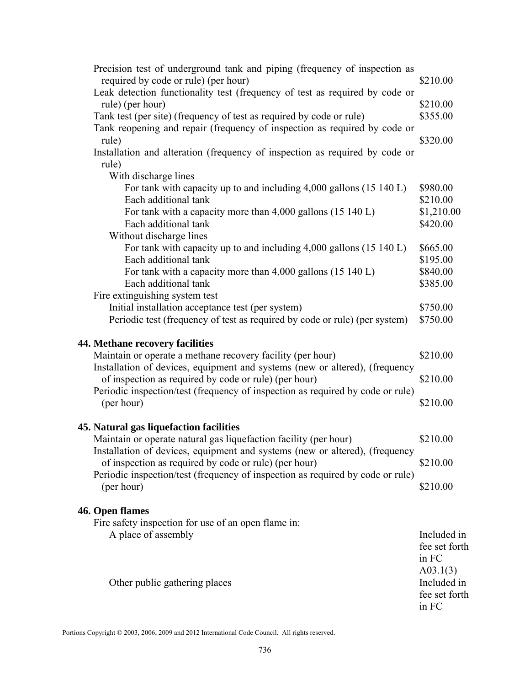| Precision test of underground tank and piping (frequency of inspection as<br>required by code or rule) (per hour)                       | \$210.00                |
|-----------------------------------------------------------------------------------------------------------------------------------------|-------------------------|
| Leak detection functionality test (frequency of test as required by code or                                                             |                         |
| rule) (per hour)                                                                                                                        | \$210.00                |
| Tank test (per site) (frequency of test as required by code or rule)                                                                    | \$355.00                |
| Tank reopening and repair (frequency of inspection as required by code or                                                               |                         |
| rule)                                                                                                                                   | \$320.00                |
| Installation and alteration (frequency of inspection as required by code or                                                             |                         |
| rule)<br>With discharge lines                                                                                                           |                         |
| For tank with capacity up to and including $4,000$ gallons $(15\ 140\ L)$                                                               | \$980.00                |
| Each additional tank                                                                                                                    | \$210.00                |
| For tank with a capacity more than $4,000$ gallons $(15\ 140\ L)$                                                                       | \$1,210.00              |
| Each additional tank                                                                                                                    | \$420.00                |
| Without discharge lines                                                                                                                 |                         |
| For tank with capacity up to and including 4,000 gallons (15 140 L)                                                                     | \$665.00                |
| Each additional tank                                                                                                                    | \$195.00                |
| For tank with a capacity more than $4,000$ gallons $(15\ 140\ L)$<br>Each additional tank                                               | \$840.00<br>\$385.00    |
| Fire extinguishing system test                                                                                                          |                         |
| Initial installation acceptance test (per system)                                                                                       | \$750.00                |
| Periodic test (frequency of test as required by code or rule) (per system)                                                              | \$750.00                |
|                                                                                                                                         |                         |
| <b>44. Methane recovery facilities</b>                                                                                                  |                         |
| Maintain or operate a methane recovery facility (per hour)                                                                              | \$210.00                |
| Installation of devices, equipment and systems (new or altered), (frequency<br>of inspection as required by code or rule) (per hour)    | \$210.00                |
| Periodic inspection/test (frequency of inspection as required by code or rule)                                                          |                         |
| (per hour)                                                                                                                              | \$210.00                |
|                                                                                                                                         |                         |
| 45. Natural gas liquefaction facilities                                                                                                 |                         |
| Maintain or operate natural gas liquefaction facility (per hour)                                                                        | \$210.00                |
| Installation of devices, equipment and systems (new or altered), (frequency                                                             |                         |
| of inspection as required by code or rule) (per hour)<br>Periodic inspection/test (frequency of inspection as required by code or rule) | \$210.00                |
| (per hour)                                                                                                                              | \$210.00                |
|                                                                                                                                         |                         |
| 46. Open flames                                                                                                                         |                         |
| Fire safety inspection for use of an open flame in:                                                                                     |                         |
| A place of assembly                                                                                                                     | Included in             |
|                                                                                                                                         | fee set forth           |
|                                                                                                                                         | in FC                   |
| Other public gathering places                                                                                                           | A03.1(3)<br>Included in |
|                                                                                                                                         | fee set forth           |
|                                                                                                                                         | in FC                   |
|                                                                                                                                         |                         |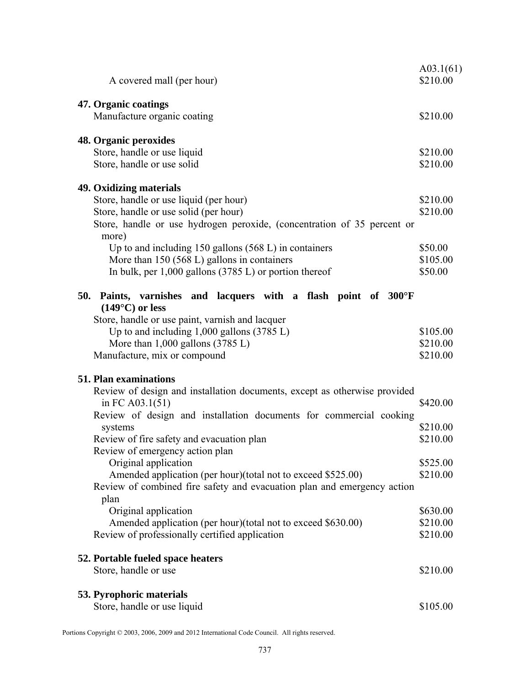|     |                                                                                        | A03.1(61)            |
|-----|----------------------------------------------------------------------------------------|----------------------|
|     | A covered mall (per hour)                                                              | \$210.00             |
|     | 47. Organic coatings                                                                   |                      |
|     | Manufacture organic coating                                                            | \$210.00             |
|     | 48. Organic peroxides                                                                  |                      |
|     | Store, handle or use liquid                                                            | \$210.00             |
|     | Store, handle or use solid                                                             | \$210.00             |
|     | 49. Oxidizing materials                                                                |                      |
|     | Store, handle or use liquid (per hour)                                                 | \$210.00             |
|     | Store, handle or use solid (per hour)                                                  | \$210.00             |
|     | Store, handle or use hydrogen peroxide, (concentration of 35 percent or<br>more)       |                      |
|     | Up to and including $150$ gallons $(568 \text{ L})$ in containers                      | \$50.00              |
|     | More than $150 (568 L)$ gallons in containers                                          | \$105.00             |
|     | In bulk, per $1,000$ gallons $(3785 \text{ L})$ or portion thereof                     | \$50.00              |
| 50. | Paints, varnishes and lacquers with a flash point of 300°F<br>$(149^{\circ}C)$ or less |                      |
|     | Store, handle or use paint, varnish and lacquer                                        |                      |
|     | Up to and including $1,000$ gallons $(3785 \text{ L})$                                 | \$105.00             |
|     | More than $1,000$ gallons $(3785 \text{ L})$                                           | \$210.00             |
|     | Manufacture, mix or compound                                                           | \$210.00             |
|     | <b>51. Plan examinations</b>                                                           |                      |
|     | Review of design and installation documents, except as otherwise provided              |                      |
|     | in FC $A03.1(51)$                                                                      | \$420.00             |
|     | Review of design and installation documents for commercial cooking                     |                      |
|     | systems                                                                                | \$210.00             |
|     | Review of fire safety and evacuation plan                                              | \$210.00             |
|     | Review of emergency action plan                                                        |                      |
|     | Original application<br>Amended application (per hour)(total not to exceed \$525.00)   | \$525.00<br>\$210.00 |
|     | Review of combined fire safety and evacuation plan and emergency action                |                      |
|     | plan<br>Original application                                                           | \$630.00             |
|     | Amended application (per hour)(total not to exceed \$630.00)                           | \$210.00             |
|     | Review of professionally certified application                                         | \$210.00             |
|     | 52. Portable fueled space heaters                                                      |                      |
|     | Store, handle or use                                                                   | \$210.00             |
|     | 53. Pyrophoric materials                                                               |                      |
|     | Store, handle or use liquid                                                            | \$105.00             |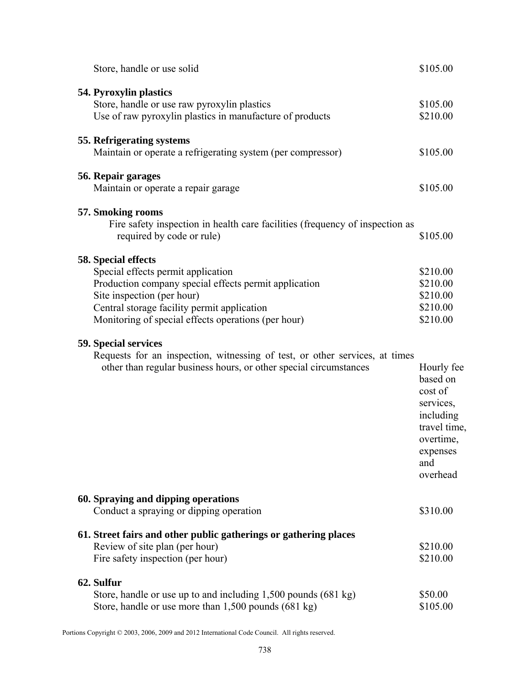|                             | Store, handle or use solid                                                                                                                                                                                                      | \$105.00                                                                                                                |
|-----------------------------|---------------------------------------------------------------------------------------------------------------------------------------------------------------------------------------------------------------------------------|-------------------------------------------------------------------------------------------------------------------------|
| 54. Pyroxylin plastics      | Store, handle or use raw pyroxylin plastics<br>Use of raw pyroxylin plastics in manufacture of products                                                                                                                         | \$105.00<br>\$210.00                                                                                                    |
|                             | 55. Refrigerating systems<br>Maintain or operate a refrigerating system (per compressor)                                                                                                                                        | \$105.00                                                                                                                |
| 56. Repair garages          | Maintain or operate a repair garage                                                                                                                                                                                             | \$105.00                                                                                                                |
| 57. Smoking rooms           | Fire safety inspection in health care facilities (frequency of inspection as<br>required by code or rule)                                                                                                                       | \$105.00                                                                                                                |
| 58. Special effects         | Special effects permit application<br>Production company special effects permit application<br>Site inspection (per hour)<br>Central storage facility permit application<br>Monitoring of special effects operations (per hour) | \$210.00<br>\$210.00<br>\$210.00<br>\$210.00<br>\$210.00                                                                |
| <b>59. Special services</b> | Requests for an inspection, witnessing of test, or other services, at times<br>other than regular business hours, or other special circumstances                                                                                | Hourly fee<br>based on<br>cost of<br>services,<br>including<br>travel time,<br>overtime,<br>expenses<br>and<br>overhead |
|                             | 60. Spraying and dipping operations<br>Conduct a spraying or dipping operation                                                                                                                                                  | \$310.00                                                                                                                |
|                             | 61. Street fairs and other public gatherings or gathering places<br>Review of site plan (per hour)<br>Fire safety inspection (per hour)                                                                                         | \$210.00<br>\$210.00                                                                                                    |
| 62. Sulfur                  | Store, handle or use up to and including $1,500$ pounds $(681 \text{ kg})$<br>Store, handle or use more than 1,500 pounds (681 kg)                                                                                              | \$50.00<br>\$105.00                                                                                                     |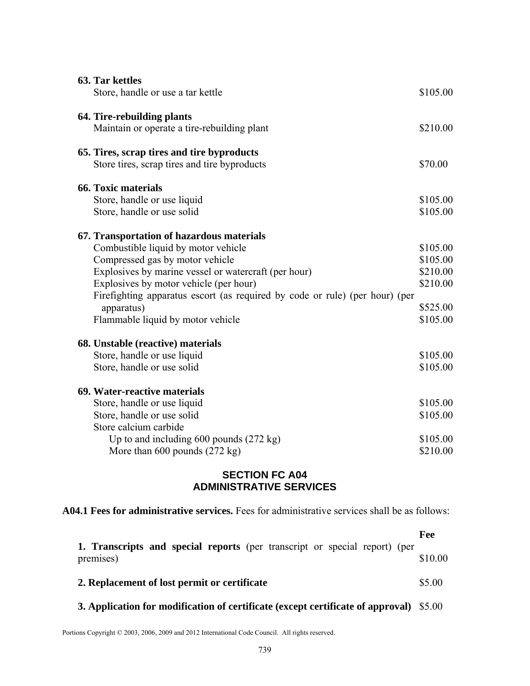| 63. Tar kettles<br>Store, handle or use a tar kettle                                                                                                                                                                                                                                                                                                    | \$105.00                                                             |
|---------------------------------------------------------------------------------------------------------------------------------------------------------------------------------------------------------------------------------------------------------------------------------------------------------------------------------------------------------|----------------------------------------------------------------------|
| 64. Tire-rebuilding plants<br>Maintain or operate a tire-rebuilding plant                                                                                                                                                                                                                                                                               | \$210.00                                                             |
| 65. Tires, scrap tires and tire byproducts<br>Store tires, scrap tires and tire byproducts                                                                                                                                                                                                                                                              | \$70.00                                                              |
| <b>66. Toxic materials</b><br>Store, handle or use liquid<br>Store, handle or use solid                                                                                                                                                                                                                                                                 | \$105.00<br>\$105.00                                                 |
| 67. Transportation of hazardous materials<br>Combustible liquid by motor vehicle<br>Compressed gas by motor vehicle<br>Explosives by marine vessel or watercraft (per hour)<br>Explosives by motor vehicle (per hour)<br>Firefighting apparatus escort (as required by code or rule) (per hour) (per<br>apparatus)<br>Flammable liquid by motor vehicle | \$105.00<br>\$105.00<br>\$210.00<br>\$210.00<br>\$525.00<br>\$105.00 |
| 68. Unstable (reactive) materials<br>Store, handle or use liquid<br>Store, handle or use solid                                                                                                                                                                                                                                                          | \$105.00<br>\$105.00                                                 |
| 69. Water-reactive materials<br>Store, handle or use liquid<br>Store, handle or use solid<br>Store calcium carbide<br>Up to and including $600$ pounds $(272 \text{ kg})$<br>More than $600$ pounds $(272 \text{ kg})$                                                                                                                                  | \$105.00<br>\$105.00<br>\$105.00<br>\$210.00                         |

### **SECTION FC A04 ADMINISTRATIVE SERVICES**

**A04.1 Fees for administrative services.** Fees for administrative services shall be as follows:

| 1. Transcripts and special reports (per transcript or special report) (per<br>premises) | \$10.00 |
|-----------------------------------------------------------------------------------------|---------|
| 2. Replacement of lost permit or certificate                                            |         |
| 3. Application for modification of certificate (except certificate of approval) \$5.00  |         |